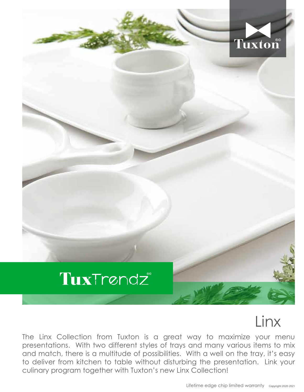

## Linx

The Linx Collection from Tuxton is a great way to maximize your menu presentations. With two different styles of trays and many various items to mix and match, there is a multitude of possibilities. With a well on the tray, it's easy to deliver from kitchen to table without disturbing the presentation. Link your culinary program together with Tuxton's new Linx Collection!